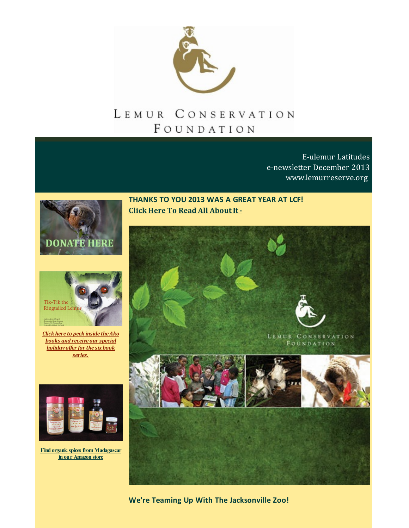

# LEMUR CONSERVATION FOUNDATION

E-ulemur Latitudes e-newsletter December 2013 [www.lemurreserve.org](http://www.lemurreserve.org)





*Click here to peek inside theAko books and receive our special [holiday](http://r20.rs6.net/tn.jsp?f=001zzDbRsyxGVf2ZaekZ_L-UM7QafhZ5FV6pzdQrfjUPmqNsQEljPGY3-TWvP_e2_bwhMgthdoDYOGcM5Gf3149qwePcMHNS74S7PevqOyoukeHkl-tWEKWxQBP7KRtUHc_8NmmwCe8Z8hdIfHxfzYZOuDYjqGvoIp92kiO6cfxqJN_L-N2RFaQMOqfNlU7pJSLpU0EpdtsmHIDeo81uLnpU8y7rfvRbmEynfu8OsEZ1jT3bHUApFTmivLy91oXdnXVyJbihsL-a_M=&c=&ch=) of er for the six book series.*



**Find organic spices from [Madagascar](http://r20.rs6.net/tn.jsp?f=001zzDbRsyxGVf2ZaekZ_L-UM7QafhZ5FV6pzdQrfjUPmqNsQEljPGY31OFQou44Ouxn3Z3ZH7A5fIDR4AYWzTgDU6Vd8C1-g2oMWjwiNr9gJH9NNSe9xw3S-HeCbqfWMmvxFoaPDCIUXq2TEawy_C-PptnWt2mD5bcNLtPKUTT4auWheNkFKiVi8oHXWUoMjVQgTLxH_4iExbMxsOKLC2gTw==&c=&ch=) in our Amazon store**

**THANKS TO YOU 2013 WAS A GREAT YEAR AT LCF! Click Here To Read All About It -**



**We're Teaming Up With The Jacksonville Zoo!**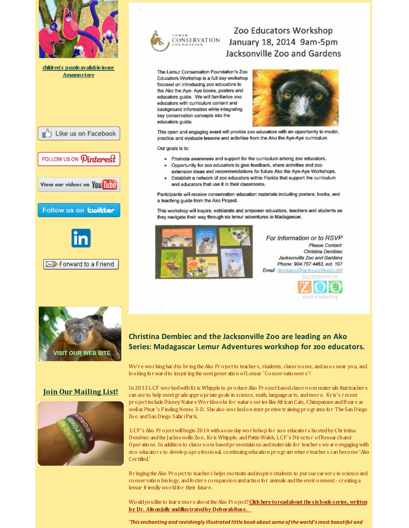



## Zoo Educators Workshop January 18, 2014 9am-5pm Jacksonville Zoo and Gardens

The Lemur Conservation Foundation's Zoo Educators Workshop is a full day workshop focused on introducing zoo educators to the Ako the Aye-Aye books, posters and educators guide. We will familiarize zoo educators with curriculum content and background information while integrating key conservation concepts into the educators guide.



This open and engaging event will provide zoo educators with an opportunity to model, practice and evaluate lessons and activities from the Ako the Aye-Aye curriculum.

Our goals is to:

- . Promote awareness and support for the curriculum among zoo educators.
- Opportunity for zoo educators to give feedback, share activities and zoo extension ideas and recommendations for future Ako the Aye-Aye Workshops.
- Establish a network of zoo educators within Florida that support the curriculum and educators that use it in their classrooms.

Participants will receive conservation education materials including posters, books, and a teaching guide from the Ako Project.

This workshop will inspire, exhilarate and empower educators, teachers and students as they navigate their way through six lemur adventures in Madagascar.



For Information or to RSVP Please Contact: Christina Dembiec Jacksonville Zoo and Gardens Phone: 904.757.4463, ext. 107 Email: dembieco@jacksonvillezoo.org





### **Christina Dembiec and the Jacksonville Zoo are leading an Ako Series: Madagascar Lemur Adventures workshop for zoo educators.**

We'r ewor king hardto br ing theAko Pr ojectto teacher s, students, classr ooms, andzoos near you, and looking forwardto inspir ing the nextgener ation ofLemur 'Conser vationeer s'!

In 2013 LCF wor ked with Kr is Whipple to produce Ako Project based classroom materials that teachers can use to help meetgr ade appr opr iate goals in science, math, language ar ts, andmor e. Kr is's r ecent project include Disney Natur e Workbooks for natur e series like African Cats, Chimpanzee and Bears as well as Pixar 's Finding Nemo 3-D. She also wor ked on inter pr etive tr aining pr ogr ams for The San Diego Zoo andSan Diego Safar iPar k.

LCF's Ako Project will begin 2014 with ao ne day workshop for zoo educators hosted by Christina Dembiec andthe Jacksonville Zoo, Kr is Whipple, andPattie Walsh, LCF's Dir ector ofResear chand Oper ations. In addition to classr oom based presentations and mater ials for teachers we are engaging with zoo educator s to develop apr ofessional, continuing education pr ogr am wher e teacher s can become 'Ako Cer tified.'

Br inging theAko Pr ojectto teacher s helps motivate andinspir e students to pur sue car eer s in science and conser vation biology, andfoster s compassion andaction for animals andthe envir onment- cr eating a lemur friendly world for their future.

Wouldyoulike to learn mor e abouttheAko Pr oject?**[Clickheretoreadabout](http://r20.rs6.net/tn.jsp?f=001zzDbRsyxGVf2ZaekZ_L-UM7QafhZ5FV6pzdQrfjUPmqNsQEljPGY3-TWvP_e2_bwhMgthdoDYOGcM5Gf3149qwePcMHNS74S7PevqOyoukeHkl-tWEKWxQBP7KRtUHc_8NmmwCe8Z8hdIfHxfzYZOuDYjqGvoIp92kiO6cfxqJN_L-N2RFaQMOqfNlU7pJSLpU0EpdtsmHIDeo81uLnpU8y7rfvRbmEynfu8OsEZ1jT3bHUApFTmivLy91oXdnXVyJbihsL-a_M=&c=&ch=) thesixbookseries, written by Dr. AlisonJolly andillustratedby DeborahRoss.**

*'This enchanting and ravishingly illustrated little book about some ofthe world'smost beautiful and*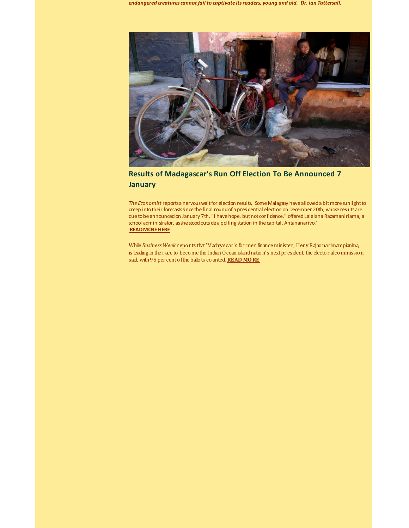*endangered creatures cannot fail to captivate itsreaders, young and old.' Dr. Ian Tattersall.*



**Results of Madagascar's Run Off Election To Be Announced 7 January**

*The Economist* reportsa nervouswaitfor election results, 'Some Malagasy have alloweda bitmore sunlightto creep into their forecasts since the final round of a presidential election on December 20th, whose results are due to be announced on January 7th. "I have hope, but not confidence," offered Lalaiana Razamaniriama, a school administrator, as she stood outside a polling station in the capital, Antananarivo.' **[READMOREHERE](http://r20.rs6.net/tn.jsp?f=001zzDbRsyxGVf2ZaekZ_L-UM7QafhZ5FV6pzdQrfjUPmqNsQEljPGY37gCowF6sgrW4XUEQYBxIizFix_mTnsMRrsz16iLA4q-91SSPe4TywhiQOl0GSR3d6nUR65XY1N4ArmDyihqlhjMqAYD0HUSJsjBCmgIKDRTtblcSWbuf9lLZscAWIFAy31UQLkpBBUtSDCyFi195pCsJhX2b5gxlty2Ollifkv4JobUF_HUhMiPubV_OSyyeg==&c=&ch=)**

While *Business Week* r epor ts that'Madagascar 's former finance minister , Her yRajaonar imampianina, is leading in the r ace to become the Indian Ocean islandnation's nextpr esident, the elector alcommission said, with95 per centofthe ballots counted. **READ [MORE](http://r20.rs6.net/tn.jsp?f=001zzDbRsyxGVf2ZaekZ_L-UM7QafhZ5FV6pzdQrfjUPmqNsQEljPGY37gCowF6sgrWzMUd9eyGAL8aJ049kJ-EVCf9GMCsrJXykSCh1WL1WFoyVDPIcj44qOHZOsBcKJ1jkNRyK9cvP-uLGq3XMv1e3bGZiVDvRJTtQ7dCEI7MisoeaEtWY0v32M7lTWisE095aGgco9EKs52MhJmH-6a8CuPwJS65PW8FDf226VQ56V35Q6LV56Aogxd0tKzBVC3tTVLgVJK9phECbdcvDhDz2YUFk6GeL9CM&c=&ch=)**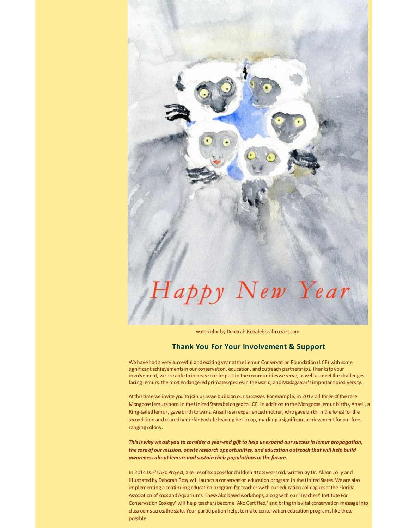# appy New Year

watercolor by Deborah Rossdeborahrossart.com

#### **Thank You For Your Involvement & Support**

We have had a very successful and exciting year at the Lemur Conservation Foundation (LCF) with some significant achievementsin our conservation, education, andoutreach partnerships. Thankstoyour involvement, we are able toincrease our impactin the communitieswe serve, aswell asmeetthe challenges facing lemurs, the most endangered primates species in the world, and Madagascar's important biodiversity.

Atthistime we invite you tojoin usaswe buildon our successes. For example, in 2012 all three ofthe rare Mongoose lemursborn in the United States belonged to LCF. In addition to the Mongoose lemur births, Ansell, a Ring-tailed lemur, gave birth to twins. Ansell is an experienced mother, who gave birth in the forest for the second time and reared her infants while leading her troop, marking a significant achievement for our freeranging colony.

This is why we ask you to consider a year-end gift to help us expand our success in lemur propagation, *the core of our mission, onsite research opportunities, and education outreach that will help build awareness about lemurs and sustain their populationsin the future.*

In 2014 LCF's Ako Project, a series of six books for children 4 to 8 years old, written by Dr. Alison Jolly and illustrated by Deborah Ross, will launch a conservation education program in the United States. We are also implementing a continuing education program for teacherswith our education colleaguesatthe Florida Association of Zoos and Aquariums. These Ako based workshops, along with our 'Teachers' Institute For Conservation Ecology' will help teachersbecome 'AkoCertified,' andbring thisvital conservation message into classroomsacrossthe state. Your participation helpstomake conservation education programslike these possible.